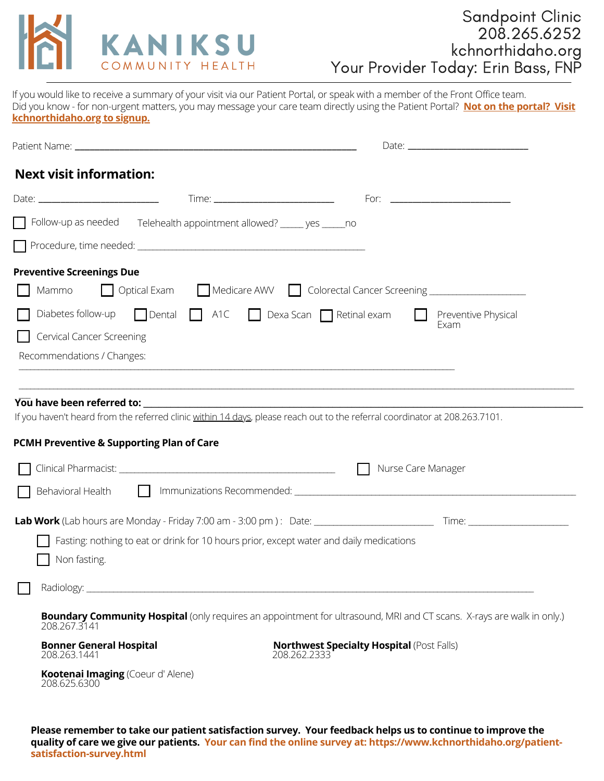

If you would like to receive a summary of your visit via our Patient Portal, or speak with a member of the Front Office team. Did you know - for non-urgent matters, you may message your care team directly using the Patient Portal? **Not on the portal? Visit kchnorthidaho.org to signup.**

| <b>Next visit information:</b>                                 |                                                                                                                                                                                                                                |              |                                                  |                     |
|----------------------------------------------------------------|--------------------------------------------------------------------------------------------------------------------------------------------------------------------------------------------------------------------------------|--------------|--------------------------------------------------|---------------------|
|                                                                |                                                                                                                                                                                                                                |              |                                                  |                     |
|                                                                | □ Follow-up as needed Telehealth appointment allowed? _____ yes _____ no                                                                                                                                                       |              |                                                  |                     |
|                                                                |                                                                                                                                                                                                                                |              |                                                  |                     |
| <b>Preventive Screenings Due</b><br>Mammo                      | Optical Exam Medicare AWV Colorectal Cancer Screening __________________________<br>Diabetes follow-up Dental A1C Dexa Scan Retinal exam                                                                                       |              |                                                  | Preventive Physical |
| <b>Cervical Cancer Screening</b><br>Recommendations / Changes: |                                                                                                                                                                                                                                |              | Exam                                             |                     |
| <b>PCMH Preventive &amp; Supporting Plan of Care</b>           | If you haven't heard from the referred clinic within 14 days, please reach out to the referral coordinator at 208.263.7101.                                                                                                    |              |                                                  |                     |
|                                                                |                                                                                                                                                                                                                                |              | Nurse Care Manager                               |                     |
|                                                                | Behavioral Health Immunizations Recommended: [19] Immunizations Recommended: [19] Immunizations Recommended: [19] Immunizations Recommended: [19] Immunizations Recommended: [19] Immunizations Recommended: [19] Immunization |              |                                                  |                     |
| Non fasting.                                                   | Fasting: nothing to eat or drink for 10 hours prior, except water and daily medications                                                                                                                                        |              |                                                  |                     |
|                                                                |                                                                                                                                                                                                                                |              |                                                  |                     |
| 208.267.3141                                                   | <b>Boundary Community Hospital</b> (only requires an appointment for ultrasound, MRI and CT scans. X-rays are walk in only.)                                                                                                   |              |                                                  |                     |
| <b>Bonner General Hospital</b><br>208.263.1441                 |                                                                                                                                                                                                                                | 208.262.2333 | <b>Northwest Specialty Hospital (Post Falls)</b> |                     |
| Kootenai Imaging (Coeur d'Alene)<br>208.625.6300               |                                                                                                                                                                                                                                |              |                                                  |                     |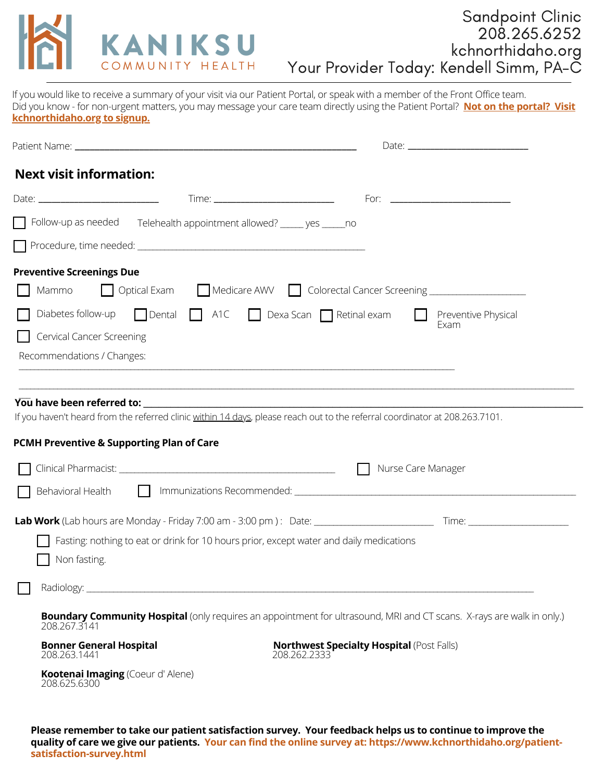

# Sandpoint Clinic 208.265.6252 kchnorthidaho.org Your Provider Today: Kendell Simm, PA-C

If you would like to receive a summary of your visit via our Patient Portal, or speak with a member of the Front Office team. Did you know - for non-urgent matters, you may message your care team directly using the Patient Portal? **Not on the portal? Visit kchnorthidaho.org to signup.**

| <b>Next visit information:</b>                                                                          |                                                                                                                                                                                                                           |
|---------------------------------------------------------------------------------------------------------|---------------------------------------------------------------------------------------------------------------------------------------------------------------------------------------------------------------------------|
|                                                                                                         |                                                                                                                                                                                                                           |
| Follow-up as needed Telehealth appointment allowed? _____ yes _____ no                                  |                                                                                                                                                                                                                           |
|                                                                                                         |                                                                                                                                                                                                                           |
| <b>Preventive Screenings Due</b><br>Mammo<br>Diabetes follow-up                                         | Optical Exam Medicare AWV Colorectal Cancer Screening __________________________<br>$\Box$ Dental $\Box$ A1C $\Box$ Dexa Scan $\Box$ Retinal exam                                                                         |
| <b>Cervical Cancer Screening</b><br>Recommendations / Changes:                                          | Preventive Physical<br>Exam                                                                                                                                                                                               |
| PCMH Preventive & Supporting Plan of Care                                                               | If you haven't heard from the referred clinic within 14 days, please reach out to the referral coordinator at 208.263.7101.<br>Nurse Care Manager                                                                         |
|                                                                                                         | Behavioral Health <b>Communizations Recommended</b> : <u>Communications and interventional Health Communications Recommended: Communications and interventional control of the Behavioral Communications Recommended:</u> |
| Fasting: nothing to eat or drink for 10 hours prior, except water and daily medications<br>Non fasting. |                                                                                                                                                                                                                           |
|                                                                                                         |                                                                                                                                                                                                                           |
| 208.267.3141                                                                                            | <b>Boundary Community Hospital</b> (only requires an appointment for ultrasound, MRI and CT scans. X-rays are walk in only.)                                                                                              |
| <b>Bonner General Hospital</b><br>208.263.1441                                                          | <b>Northwest Specialty Hospital (Post Falls)</b><br>208.262.2333                                                                                                                                                          |
| Kootenai Imaging (Coeur d'Alene)<br>208.625.6300                                                        |                                                                                                                                                                                                                           |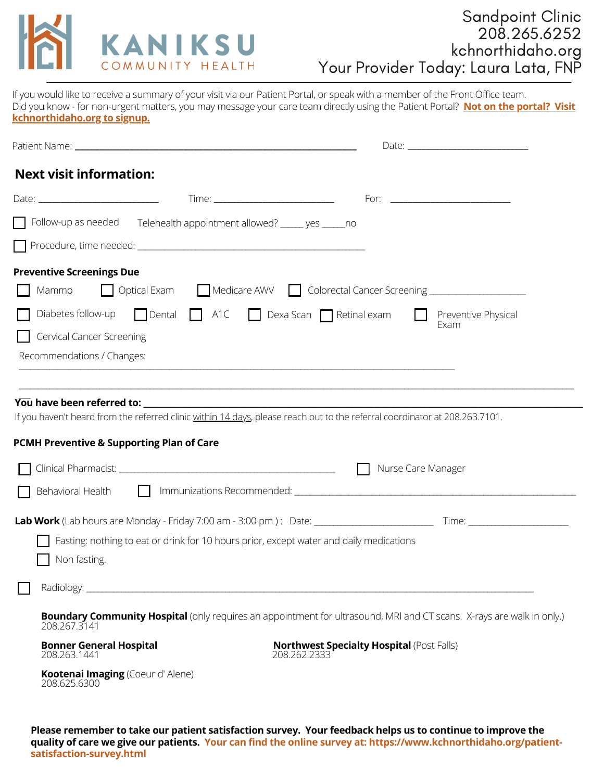

If you would like to receive a summary of your visit via our Patient Portal, or speak with a member of the Front Office team. Did you know - for non-urgent matters, you may message your care team directly using the Patient Portal? **Not on the portal? Visit kchnorthidaho.org to signup.**

| <b>Next visit information:</b>                                           |                                                                                         |                                                                                                                                                                                                                                                                                                            |  |
|--------------------------------------------------------------------------|-----------------------------------------------------------------------------------------|------------------------------------------------------------------------------------------------------------------------------------------------------------------------------------------------------------------------------------------------------------------------------------------------------------|--|
|                                                                          |                                                                                         |                                                                                                                                                                                                                                                                                                            |  |
| □ Follow-up as needed Telehealth appointment allowed? _____ yes _____ no |                                                                                         |                                                                                                                                                                                                                                                                                                            |  |
|                                                                          |                                                                                         |                                                                                                                                                                                                                                                                                                            |  |
| <b>Preventive Screenings Due</b><br>Mammo                                |                                                                                         | Optical Exam Medicare AWV Colorectal Cancer Screening __________________________                                                                                                                                                                                                                           |  |
| <b>Cervical Cancer Screening</b><br>Recommendations / Changes:           | Diabetes follow-up $\Box$ Dental $\Box$ A1C $\Box$ Dexa Scan $\Box$ Retinal exam        | <b>Preventive Physical</b><br>Exam                                                                                                                                                                                                                                                                         |  |
| <b>PCMH Preventive &amp; Supporting Plan of Care</b>                     |                                                                                         | If you haven't heard from the referred clinic within 14 days, please reach out to the referral coordinator at 208.263.7101.                                                                                                                                                                                |  |
|                                                                          |                                                                                         | Nurse Care Manager<br>$\perp$<br>Behavioral Health <b>Communizations Recommended</b> : <b>Communications Recommended</b> : <b>Communications</b> and <b>Replace Communications</b> and <b>Replace Communications</b> and <b>Replace Communications</b> and <b>Replace Communications</b> and <b>Replac</b> |  |
| Non fasting.                                                             | Fasting: nothing to eat or drink for 10 hours prior, except water and daily medications |                                                                                                                                                                                                                                                                                                            |  |
|                                                                          |                                                                                         |                                                                                                                                                                                                                                                                                                            |  |
| 208.267.3141                                                             |                                                                                         | <b>Boundary Community Hospital</b> (only requires an appointment for ultrasound, MRI and CT scans. X-rays are walk in only.)                                                                                                                                                                               |  |
| <b>Bonner General Hospital</b><br>208.263.1441                           |                                                                                         | <b>Northwest Specialty Hospital (Post Falls)</b><br>208.262.2333                                                                                                                                                                                                                                           |  |
| Kootenai Imaging (Coeur d'Alene)<br>208.625.6300                         |                                                                                         |                                                                                                                                                                                                                                                                                                            |  |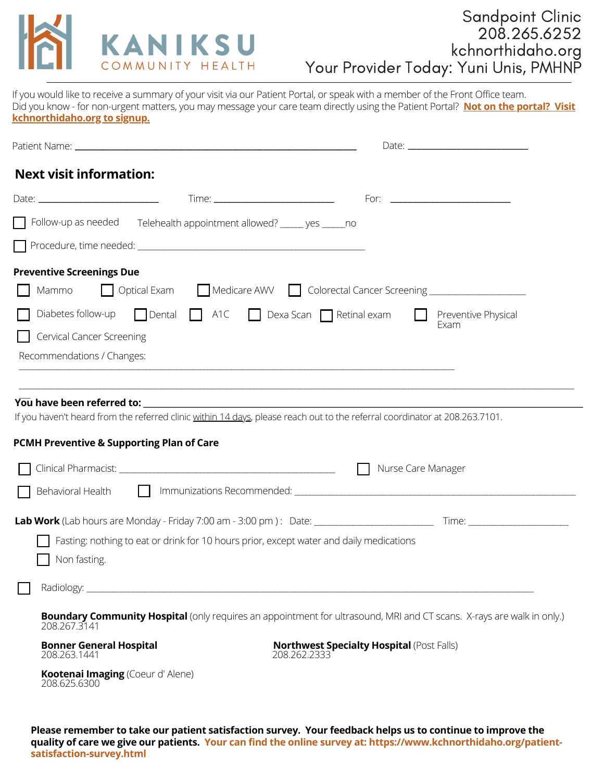

# Sandpoint Clinic 208.265.6252 kchnorthidaho.org Your Provider Today: Yuni Unis, PMHNP

If you would like to receive a summary of your visit via our Patient Portal, or speak with a member of the Front Office team. Did you know - for non-urgent matters, you may message your care team directly using the Patient Portal? **Not on the portal? Visit kchnorthidaho.org to signup.**

| <b>Next visit information:</b>                                                                                                                                           |                                                                                                                                                                                                                           |
|--------------------------------------------------------------------------------------------------------------------------------------------------------------------------|---------------------------------------------------------------------------------------------------------------------------------------------------------------------------------------------------------------------------|
|                                                                                                                                                                          |                                                                                                                                                                                                                           |
| Follow-up as needed Telehealth appointment allowed? _____ yes _____ no                                                                                                   |                                                                                                                                                                                                                           |
|                                                                                                                                                                          |                                                                                                                                                                                                                           |
| <b>Preventive Screenings Due</b>                                                                                                                                         |                                                                                                                                                                                                                           |
| Mammo                                                                                                                                                                    | Optical Exam Medicare AWV Colorectal Cancer Screening __________________________                                                                                                                                          |
| Diabetes follow-up<br>$\Box$ Dental $\Box$ A1C $\Box$ Dexa Scan $\Box$ Retinal exam                                                                                      | Preventive Physical<br>Exam                                                                                                                                                                                               |
| <b>Cervical Cancer Screening</b>                                                                                                                                         |                                                                                                                                                                                                                           |
| Recommendations / Changes:                                                                                                                                               |                                                                                                                                                                                                                           |
| If you haven't heard from the referred clinic within 14 days, please reach out to the referral coordinator at 208.263.7101.<br>PCMH Preventive & Supporting Plan of Care | Nurse Care Manager                                                                                                                                                                                                        |
|                                                                                                                                                                          | Behavioral Health <b>Communizations Recommended</b> : <u>Communications and interventional Health Communications Recommended: Communications and interventional control of the Behavioral Communications Recommended:</u> |
| Fasting: nothing to eat or drink for 10 hours prior, except water and daily medications<br>Non fasting.                                                                  |                                                                                                                                                                                                                           |
|                                                                                                                                                                          |                                                                                                                                                                                                                           |
| 208.267.3141                                                                                                                                                             | <b>Boundary Community Hospital</b> (only requires an appointment for ultrasound, MRI and CT scans. X-rays are walk in only.)                                                                                              |
| <b>Bonner General Hospital</b><br>208.263.1441                                                                                                                           | <b>Northwest Specialty Hospital (Post Falls)</b><br>208.262.2333                                                                                                                                                          |
| Kootenai Imaging (Coeur d'Alene)<br>208.625.6300                                                                                                                         |                                                                                                                                                                                                                           |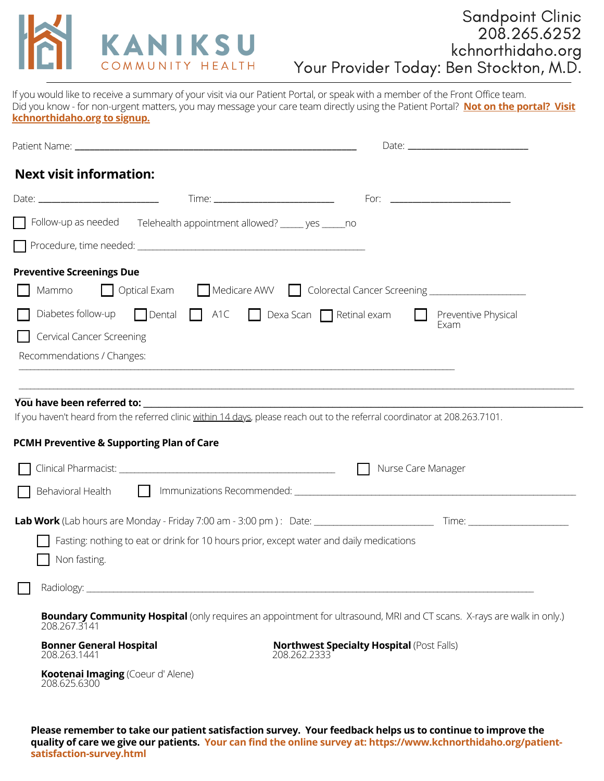

# Sandpoint Clinic 208.265.6252 kchnorthidaho.org Your Provider Today: Ben Stockton, M.D.

If you would like to receive a summary of your visit via our Patient Portal, or speak with a member of the Front Office team. Did you know - for non-urgent matters, you may message your care team directly using the Patient Portal? **Not on the portal? Visit kchnorthidaho.org to signup.**

| <b>Next visit information:</b>                                                                          |                                                                                                                                                                                                                                                 |
|---------------------------------------------------------------------------------------------------------|-------------------------------------------------------------------------------------------------------------------------------------------------------------------------------------------------------------------------------------------------|
|                                                                                                         |                                                                                                                                                                                                                                                 |
| Follow-up as needed Telehealth appointment allowed? _____ yes _____ no                                  |                                                                                                                                                                                                                                                 |
|                                                                                                         |                                                                                                                                                                                                                                                 |
| <b>Preventive Screenings Due</b>                                                                        |                                                                                                                                                                                                                                                 |
| Mammo                                                                                                   | Optical Exam Medicare AWV Colorectal Cancer Screening __________________________                                                                                                                                                                |
| Diabetes follow-up                                                                                      | $\Box$ Dental $\Box$ A1C $\Box$ Dexa Scan $\Box$ Retinal exam<br>Preventive Physical<br>Exam                                                                                                                                                    |
| <b>Cervical Cancer Screening</b>                                                                        |                                                                                                                                                                                                                                                 |
| Recommendations / Changes:                                                                              |                                                                                                                                                                                                                                                 |
| PCMH Preventive & Supporting Plan of Care                                                               | Nurse Care Manager<br>Behavioral Health <b>Communizations Recommended</b> : <u>Communications and interventional Health Communications Recommended: Communications and interventional control of the Behavioral Communications Recommended:</u> |
|                                                                                                         |                                                                                                                                                                                                                                                 |
| Fasting: nothing to eat or drink for 10 hours prior, except water and daily medications<br>Non fasting. |                                                                                                                                                                                                                                                 |
|                                                                                                         |                                                                                                                                                                                                                                                 |
| 208.267.3141                                                                                            | <b>Boundary Community Hospital</b> (only requires an appointment for ultrasound, MRI and CT scans. X-rays are walk in only.)                                                                                                                    |
| <b>Bonner General Hospital</b><br>208.263.1441                                                          | <b>Northwest Specialty Hospital (Post Falls)</b><br>208.262.2333                                                                                                                                                                                |
|                                                                                                         |                                                                                                                                                                                                                                                 |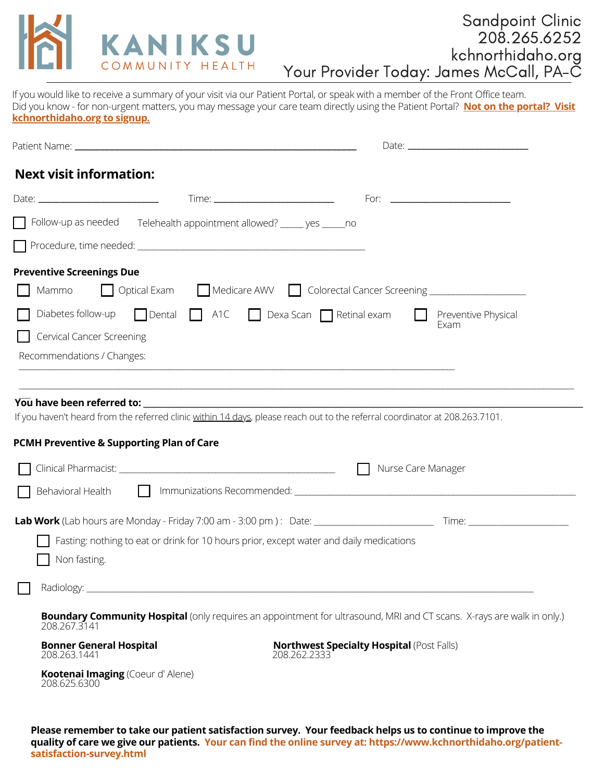

# Sandpoint Clinic 208.265.6252 kchnorthidaho.org Your Provider Today: James McCall, PA-C

If you would like to receive a summary of your visit via our Patient Portal, or speak with a member of the Front Office team. Did you know - for non-urgent matters, you may message your care team directly using the Patient Portal? **Not on the portal? Visit kchnorthidaho.org to signup.**

| <b>Next visit information:</b>                                                                                              |                                                                                                                              |
|-----------------------------------------------------------------------------------------------------------------------------|------------------------------------------------------------------------------------------------------------------------------|
|                                                                                                                             |                                                                                                                              |
| Follow-up as needed Telehealth appointment allowed? _____ yes _____ no                                                      |                                                                                                                              |
|                                                                                                                             |                                                                                                                              |
| <b>Preventive Screenings Due</b>                                                                                            |                                                                                                                              |
| Mammo                                                                                                                       | Optical Exam Medicare AWV Colorectal Cancer Screening __________________________                                             |
| Diabetes follow-up<br>Dental A1C Dexa Scan Retinal exam                                                                     | Preventive Physical<br>Exam                                                                                                  |
| Cervical Cancer Screening                                                                                                   |                                                                                                                              |
| Recommendations / Changes:                                                                                                  |                                                                                                                              |
|                                                                                                                             |                                                                                                                              |
|                                                                                                                             |                                                                                                                              |
| If you haven't heard from the referred clinic within 14 days, please reach out to the referral coordinator at 208.263.7101. |                                                                                                                              |
| PCMH Preventive & Supporting Plan of Care                                                                                   |                                                                                                                              |
|                                                                                                                             | Nurse Care Manager                                                                                                           |
|                                                                                                                             |                                                                                                                              |
|                                                                                                                             |                                                                                                                              |
| Fasting: nothing to eat or drink for 10 hours prior, except water and daily medications                                     |                                                                                                                              |
| Non fasting.                                                                                                                |                                                                                                                              |
|                                                                                                                             |                                                                                                                              |
|                                                                                                                             |                                                                                                                              |
| 208.267.3141                                                                                                                | <b>Boundary Community Hospital</b> (only requires an appointment for ultrasound, MRI and CT scans. X-rays are walk in only.) |
| <b>Bonner General Hospital</b><br>208.263.1441                                                                              | <b>Northwest Specialty Hospital (Post Falls)</b><br>208.262.2333                                                             |
| Kootenai Imaging (Coeur d'Alene)                                                                                            |                                                                                                                              |
| 208.625.6300                                                                                                                |                                                                                                                              |